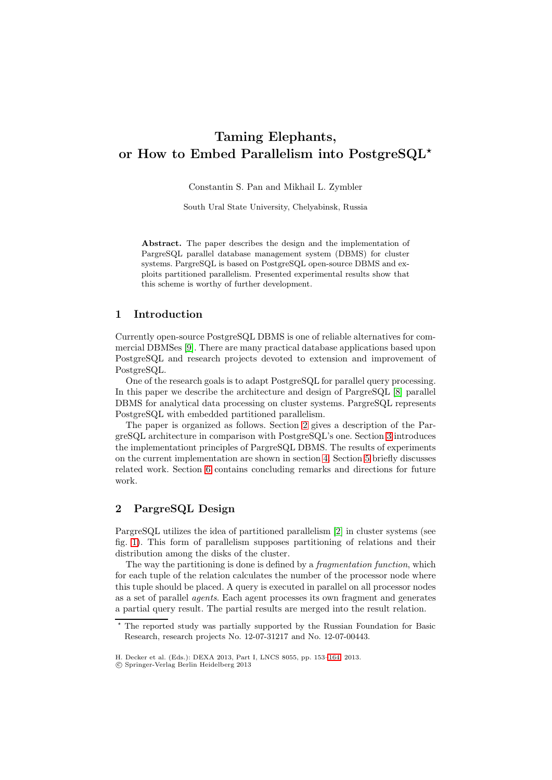# **Taming Elephants, or How to Embed Parallelism into PostgreSQL***-*

Constantin S. Pan and Mikhail L. Zymbler

South Ural State University, Chelyabinsk, Russia

**Abstract.** The paper describes the design and the implementation of PargreSQL parallel database management system (DBMS) for cluster systems. PargreSQL is based on PostgreSQL open-source DBMS and exploits partitioned parallelism. Presented experimental results show that this scheme is worthy of further development.

## **1 Introduction**

Currently open-source PostgreSQL DBMS is one of reliable alternatives for commercial DBMSes [\[9\]](#page-11-0). There are many practical database applications based upon PostgreSQL and research projects devoted to extension and improvement of PostgreSQL.

One of the research goals is to adapt PostgreSQL for parallel query processing. In this paper we describe the architecture and design of PargreSQL [\[8\]](#page-11-1) parallel DBMS for analytical data processing on cluster systems. PargreSQL represents PostgreSQL with embedded partitioned parallelism.

The paper is organized as follows. Section [2](#page-0-0) gives a description of the PargreSQL architecture in comparison with PostgreSQL's one. Section [3](#page-4-0) introduces the implementationt principles of PargreSQL DBMS. The results of experiments on the current implementation are shown in section [4.](#page-9-0) Section [5](#page-10-0) briefly discusses related work. Section [6](#page-10-1) contains concluding remarks and directions for future work.

# <span id="page-0-0"></span>**2 PargreSQL Design**

PargreSQL utilizes the idea of partitioned parallelism [\[2\]](#page-11-2) in cluster systems (see fig. [1\)](#page-1-0). This form of parallelism supposes partitioning of relations and their distribution among the disks of the cluster.

The way the partitioning is done is defined by a *fragmentation function*, which for each tuple of the relation calculates the number of the processor node where this tuple should be placed. A query is executed in parallel on all processor nodes as a set of parallel *agents*. Each agent processes its own fragment and generates a partial query result. The partial results are merged into the result relation.

 $\star$  The reported study was partially supported by the Russian Foundation for Basic Research, research projects No. 12-07-31217 and No. 12-07-00443.

H. Decker et al. (Eds.): DEXA 2013, Part I, LNCS 8055, pp. 153[–164,](#page-10-2) 2013.

<sup>-</sup>c Springer-Verlag Berlin Heidelberg 2013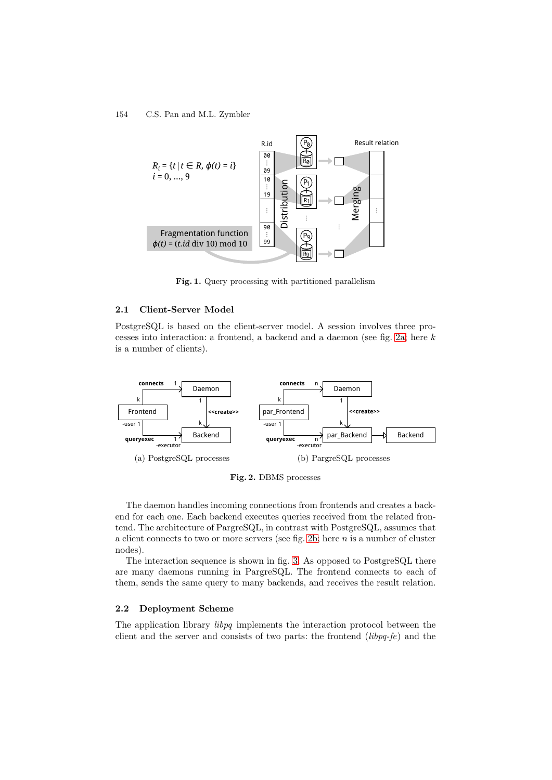

<span id="page-1-0"></span>**Fig. 1.** Query processing with partitioned parallelism

## **2.1 Client-Server Model**

PostgreSQL is based on the client-server model. A session involves three processes into interaction: a frontend, a backend and a daemon (see fig. [2a;](#page-1-1) here k is a number of clients).

<span id="page-1-1"></span>

<span id="page-1-2"></span>**Fig. 2.** DBMS processes

The daemon handles incoming connections from frontends and creates a backend for each one. Each backend executes queries received from the related frontend. The architecture of PargreSQL, in contrast with PostgreSQL, assumes that a client connects to two or more servers (see fig. [2b;](#page-1-2) here  $n$  is a number of cluster nodes).

The interaction sequence is shown in fig. [3.](#page-2-0) As opposed to PostgreSQL there are many daemons running in PargreSQL. The frontend connects to each of them, sends the same query to many backends, and receives the result relation.

#### **2.2 Deployment Scheme**

The application library *libpq* implements the interaction protocol between the client and the server and consists of two parts: the frontend (*libpq-fe*) and the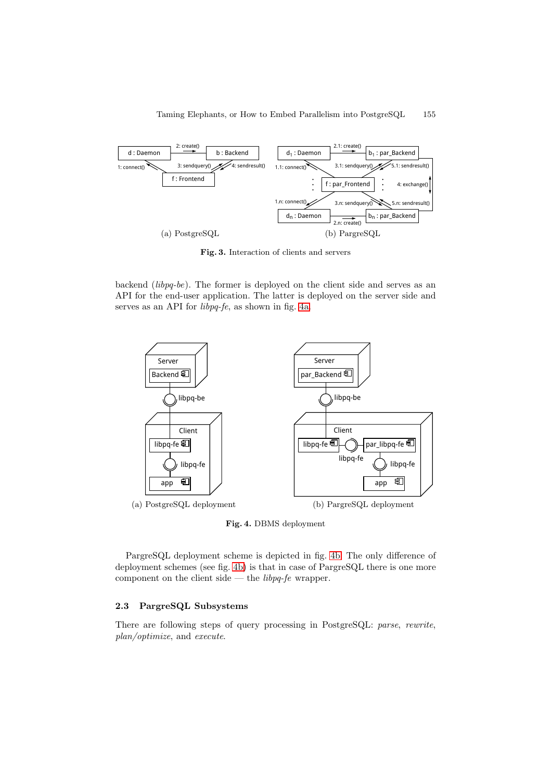

<span id="page-2-0"></span>**Fig. 3.** Interaction of clients and servers

backend (*libpq-be*). The former is deployed on the client side and serves as an API for the end-user application. The latter is deployed on the server side and serves as an API for *libpq-fe*, as shown in fig. [4a.](#page-2-1)

<span id="page-2-1"></span>

<span id="page-2-2"></span>**Fig. 4.** DBMS deployment

PargreSQL deployment scheme is depicted in fig. [4b.](#page-2-2) The only difference of deployment schemes (see fig. [4b\)](#page-2-2) is that in case of PargreSQL there is one more component on the client side — the *libpq-fe* wrapper.

# **2.3 PargreSQL Subsystems**

There are following steps of query processing in PostgreSQL: *parse*, *rewrite*, *plan/optimize*, and *execute*.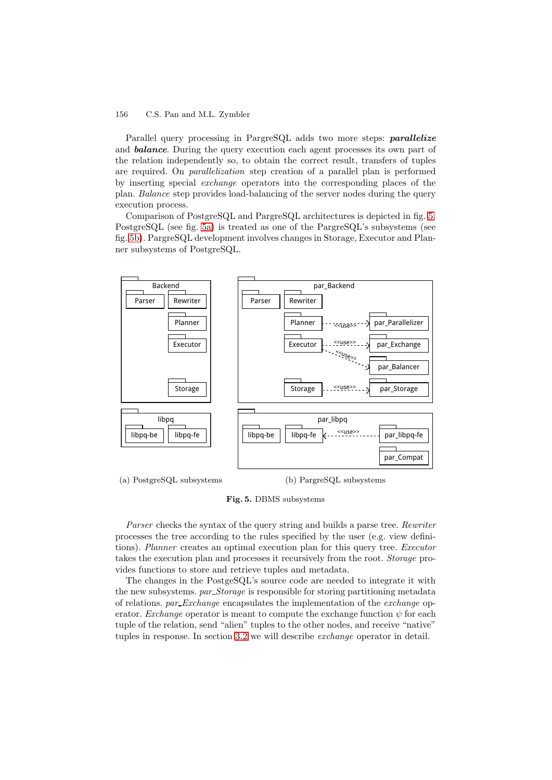Parallel query processing in PargreSQL adds two more steps: *parallelize* and *balance*. During the query execution each agent processes its own part of the relation independently so, to obtain the correct result, transfers of tuples are required. On *parallelization* step creation of a parallel plan is performed by inserting special *exchange* operators into the corresponding places of the plan. *Balance* step provides load-balancing of the server nodes during the query execution process.

Comparison of PostgreSQL and PargreSQL architectures is depicted in fig. [5.](#page-3-0) PostgreSQL (see fig. [5a\)](#page-3-1) is treated as one of the PargreSQL's subsystems (see fig. [5b\)](#page-3-2). PargreSQL development involves changes in Storage, Executor and Planner subsystems of PostgreSQL.

<span id="page-3-1"></span>

<span id="page-3-2"></span><span id="page-3-0"></span>**Fig. 5.** DBMS subsystems

*Parser* checks the syntax of the query string and builds a parse tree. *Rewriter* processes the tree according to the rules specified by the user (e.g. view definitions). *Planner* creates an optimal execution plan for this query tree. *Executor* takes the execution plan and processes it recursively from the root. *Storage* provides functions to store and retrieve tuples and metadata.

The changes in the PostgeSQL's source code are needed to integrate it with the new subsystems. *par Storage* is responsible for storing partitioning metadata of relations. *par Exchange* encapsulates the implementation of the *exchange* operator. *Exchange* operator is meant to compute the exchange function  $\psi$  for each tuple of the relation, send "alien" tuples to the other nodes, and receive "native" tuples in response. In section [3.2](#page-5-0) we will describe *exchange* operator in detail.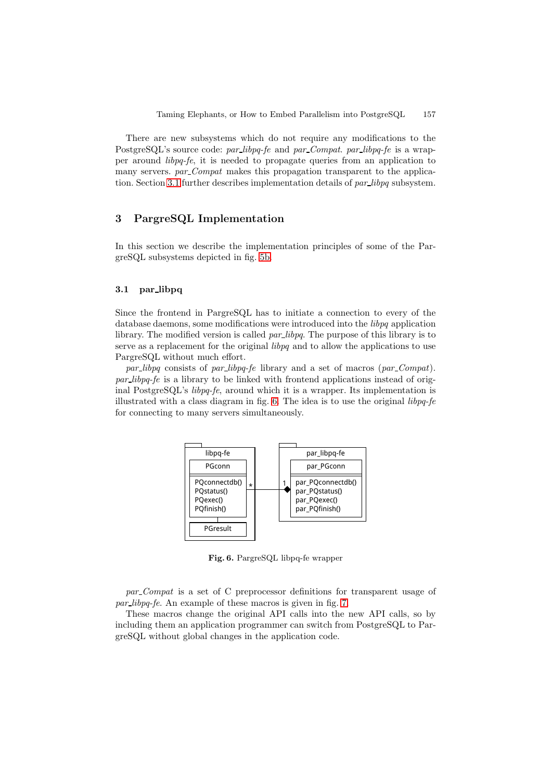There are new subsystems which do not require any modifications to the PostgreSQL's source code: *par libpq-fe* and *par Compat*. *par libpq-fe* is a wrapper around *libpq-fe*, it is needed to propagate queries from an application to many servers. *par Compat* makes this propagation transparent to the application. Section [3.1](#page-4-1) further describes implementation details of *par libpq* subsystem.

# <span id="page-4-0"></span>**3 PargreSQL Implementation**

In this section we describe the implementation principles of some of the PargreSQL subsystems depicted in fig. [5b.](#page-3-2)

## <span id="page-4-1"></span>**3.1 par libpq**

Since the frontend in PargreSQL has to initiate a connection to every of the database daemons, some modifications were introduced into the *libpq* application library. The modified version is called *par libpq*. The purpose of this library is to serve as a replacement for the original *libpq* and to allow the applications to use PargreSQL without much effort.

*par libpq* consists of *par libpq-fe* library and a set of macros (*par Compat*). *par libpq-fe* is a library to be linked with frontend applications instead of original PostgreSQL's *libpq-fe*, around which it is a wrapper. Its implementation is illustrated with a class diagram in fig. [6.](#page-4-2) The idea is to use the original *libpq-fe* for connecting to many servers simultaneously.



<span id="page-4-2"></span>**Fig. 6.** PargreSQL libpq-fe wrapper

*par Compat* is a set of C preprocessor definitions for transparent usage of *par libpq-fe*. An example of these macros is given in fig. [7.](#page-5-1)

These macros change the original API calls into the new API calls, so by including them an application programmer can switch from PostgreSQL to PargreSQL without global changes in the application code.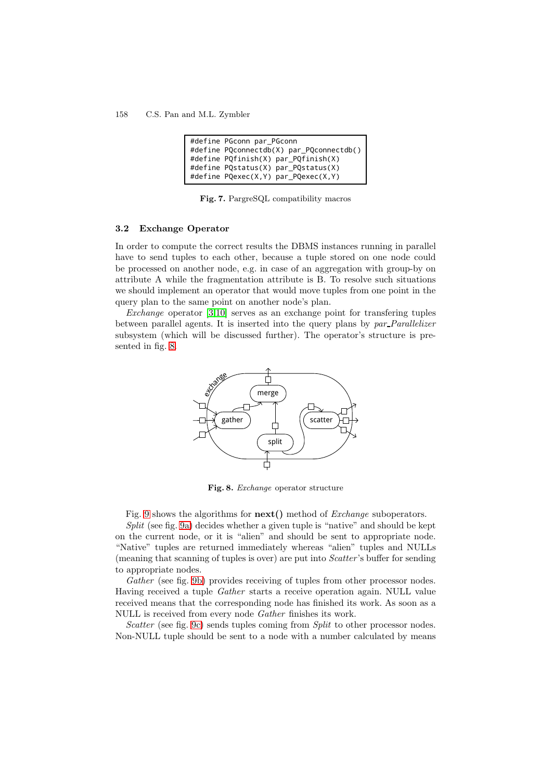| #define PGconn par PGconn                |
|------------------------------------------|
| #define PQconnectdb(X) par PQconnectdb() |
| #define PQfinish(X) par PQfinish(X)      |
| #define PQstatus(X) par PQstatus(X)      |
| #define PQexec(X,Y) par PQexec(X,Y)      |

<span id="page-5-1"></span>**Fig. 7.** PargreSQL compatibility macros

### <span id="page-5-0"></span>**3.2 Exchange Operator**

In order to compute the correct results the DBMS instances running in parallel have to send tuples to each other, because a tuple stored on one node could be processed on another node, e.g. in case of an aggregation with group-by on attribute A while the fragmentation attribute is B. To resolve such situations we should implement an operator that would move tuples from one point in the query plan to the same point on another node's plan.

*Exchange* operator [\[3,](#page-11-3)[10\]](#page-11-4) serves as an exchange point for transfering tuples between parallel agents. It is inserted into the query plans by *par Parallelizer* subsystem (which will be discussed further). The operator's structure is presented in fig. [8.](#page-5-2)



<span id="page-5-2"></span>**Fig. 8.** *Exchange* operator structure

Fig. [9](#page-6-0) shows the algorithms for **next()** method of *Exchange* suboperators.

*Split* (see fig. [9a\)](#page-6-1) decides whether a given tuple is "native" and should be kept on the current node, or it is "alien" and should be sent to appropriate node. "Native" tuples are returned immediately whereas "alien" tuples and NULLs (meaning that scanning of tuples is over) are put into *Scatter* 's buffer for sending to appropriate nodes.

*Gather* (see fig. [9b\)](#page-6-2) provides receiving of tuples from other processor nodes. Having received a tuple *Gather* starts a receive operation again. NULL value received means that the corresponding node has finished its work. As soon as a NULL is received from every node *Gather* finishes its work.

*Scatter* (see fig. [9c\)](#page-6-3) sends tuples coming from *Split* to other processor nodes. Non-NULL tuple should be sent to a node with a number calculated by means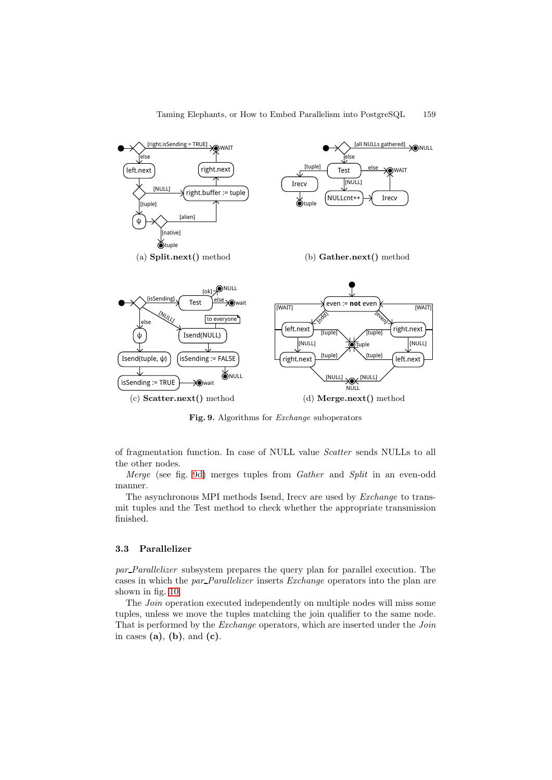<span id="page-6-3"></span><span id="page-6-1"></span>

<span id="page-6-4"></span><span id="page-6-2"></span><span id="page-6-0"></span>**Fig. 9.** Algorithms for *Exchange* suboperators

of fragmentation function. In case of NULL value *Scatter* sends NULLs to all the other nodes.

*Merge* (see fig. [9d\)](#page-6-4) merges tuples from *Gather* and *Split* in an even-odd manner.

The asynchronous MPI methods Isend, Irecv are used by *Exchange* to transmit tuples and the Test method to check whether the appropriate transmission finished.

## **3.3 Parallelizer**

*par Parallelizer* subsystem prepares the query plan for parallel execution. The cases in which the *par Parallelizer* inserts *Exchange* operators into the plan are shown in fig. [10.](#page-7-0)

The *Join* operation executed independently on multiple nodes will miss some tuples, unless we move the tuples matching the join qualifier to the same node. That is performed by the *Exchange* operators, which are inserted under the *Join* in cases **(a)**, **(b)**, and **(c)**.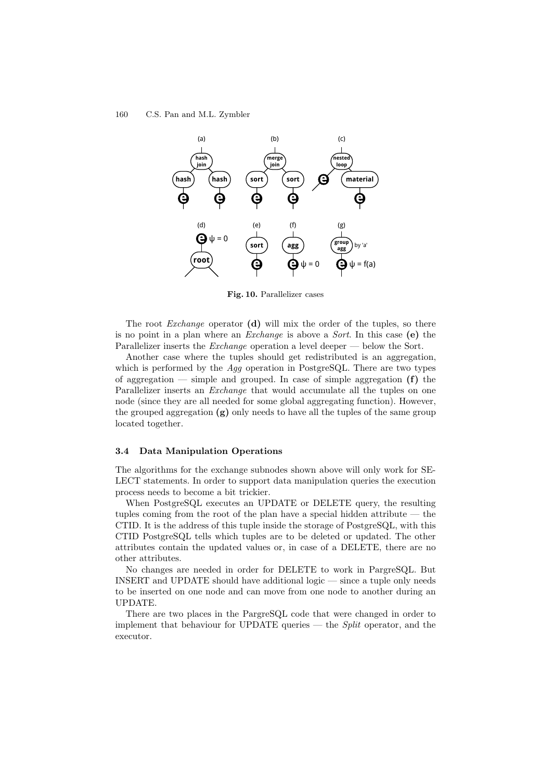

<span id="page-7-0"></span>**Fig. 10.** Parallelizer cases

The root *Exchange* operator **(d)** will mix the order of the tuples, so there is no point in a plan where an *Exchange* is above a *Sort*. In this case **(e)** the Parallelizer inserts the *Exchange* operation a level deeper — below the Sort.

Another case where the tuples should get redistributed is an aggregation, which is performed by the *Agg* operation in PostgreSQL. There are two types of aggregation — simple and grouped. In case of simple aggregation **(f)** the Parallelizer inserts an *Exchange* that would accumulate all the tuples on one node (since they are all needed for some global aggregating function). However, the grouped aggregation **(g)** only needs to have all the tuples of the same group located together.

#### **3.4 Data Manipulation Operations**

The algorithms for the exchange subnodes shown above will only work for SE-LECT statements. In order to support data manipulation queries the execution process needs to become a bit trickier.

When PostgreSQL executes an UPDATE or DELETE query, the resulting tuples coming from the root of the plan have a special hidden attribute — the CTID. It is the address of this tuple inside the storage of PostgreSQL, with this CTID PostgreSQL tells which tuples are to be deleted or updated. The other attributes contain the updated values or, in case of a DELETE, there are no other attributes.

No changes are needed in order for DELETE to work in PargreSQL. But INSERT and UPDATE should have additional logic — since a tuple only needs to be inserted on one node and can move from one node to another during an UPDATE.

There are two places in the PargreSQL code that were changed in order to implement that behaviour for UPDATE queries — the *Split* operator, and the executor.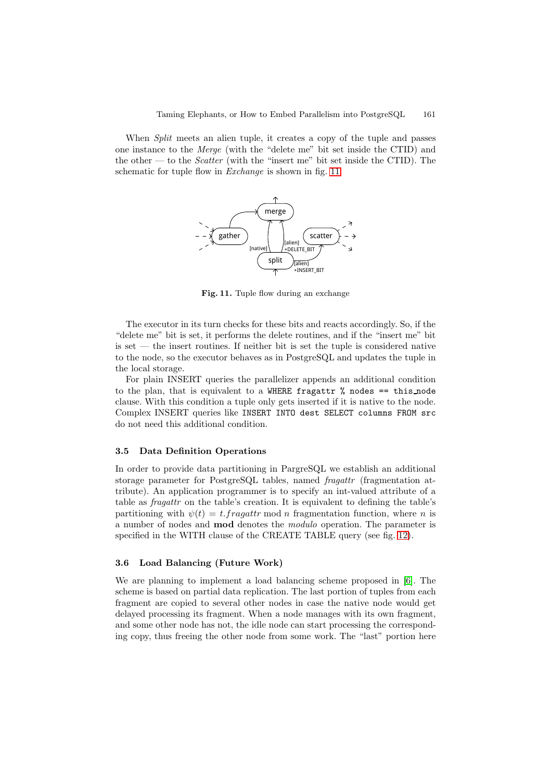When *Split* meets an alien tuple, it creates a copy of the tuple and passes one instance to the *Merge* (with the "delete me" bit set inside the CTID) and the other — to the *Scatter* (with the "insert me" bit set inside the CTID). The schematic for tuple flow in *Exchange* is shown in fig. [11.](#page-8-0)



<span id="page-8-0"></span>Fig. 11. Tuple flow during an exchange

The executor in its turn checks for these bits and reacts accordingly. So, if the "delete me" bit is set, it performs the delete routines, and if the "insert me" bit is set — the insert routines. If neither bit is set the tuple is considered native to the node, so the executor behaves as in PostgreSQL and updates the tuple in the local storage.

For plain INSERT queries the parallelizer appends an additional condition to the plan, that is equivalent to a WHERE fragattr  $\%$  nodes == this node clause. With this condition a tuple only gets inserted if it is native to the node. Complex INSERT queries like INSERT INTO dest SELECT columns FROM src do not need this additional condition.

#### **3.5 Data Definition Operations**

In order to provide data partitioning in PargreSQL we establish an additional storage parameter for PostgreSQL tables, named *fragattr* (fragmentation attribute). An application programmer is to specify an int-valued attribute of a table as *fragattr* on the table's creation. It is equivalent to defining the table's partitioning with  $\psi(t) = t$ . fragattr mod n fragmentation function, where n is a number of nodes and **mod** denotes the *modulo* operation. The parameter is specified in the WITH clause of the CREATE TABLE query (see fig. [12\)](#page-9-1).

### **3.6 Load Balancing (Future Work)**

We are planning to implement a load balancing scheme proposed in [\[6\]](#page-11-5). The scheme is based on partial data replication. The last portion of tuples from each fragment are copied to several other nodes in case the native node would get delayed processing its fragment. When a node manages with its own fragment, and some other node has not, the idle node can start processing the corresponding copy, thus freeing the other node from some work. The "last" portion here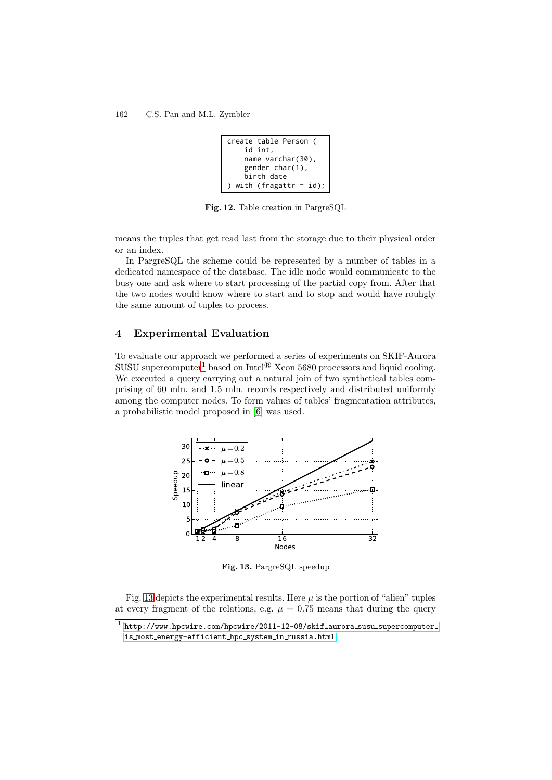```
create table Person (
     id int,
     name varchar(30),
     gender char(1),
     birth date
) with (fragattr = id);
```
<span id="page-9-1"></span>**Fig. 12.** Table creation in PargreSQL

means the tuples that get read last from the storage due to their physical order or an index.

In PargreSQL the scheme could be represented by a number of tables in a dedicated namespace of the database. The idle node would communicate to the busy one and ask where to start processing of the partial copy from. After that the two nodes would know where to start and to stop and would have rouhgly the same amount of tuples to process.

## <span id="page-9-0"></span>**4 Experimental Evaluation**

To evaluate our approach we performed a series of experiments on SKIF-Aurora SUSU supercomputer<sup>[1](#page-9-2)</sup> based on Intel<sup>®</sup> Xeon 5680 processors and liquid cooling. We executed a query carrying out a natural join of two synthetical tables comprising of 60 mln. and 1.5 mln. records respectively and distributed uniformly among the computer nodes. To form values of tables' fragmentation attributes, a probabilistic model proposed in [\[6\]](#page-11-5) was used.



<span id="page-9-3"></span>**Fig. 13.** PargreSQL speedup

Fig. [13](#page-9-3) depicts the experimental results. Here  $\mu$  is the portion of "alien" tuples at every fragment of the relations, e.g.  $\mu = 0.75$  means that during the query  $\frac{1}{1}$  http://www.hpcwire.com/hpcwire/2011-12-08/skif\_aurora\_susu\_supercomputer\_

<span id="page-9-2"></span><sup>1</sup>  $h_n = \frac{h_n}{h_n}$ is most energy-efficient hepatient hepatient hepatient hepatient hepatient hepatient hepatient hepatient hepatient hepatient hepatient hepatient hepatient hepatient hepatient hepatient hepatient hepatient hepatient hepati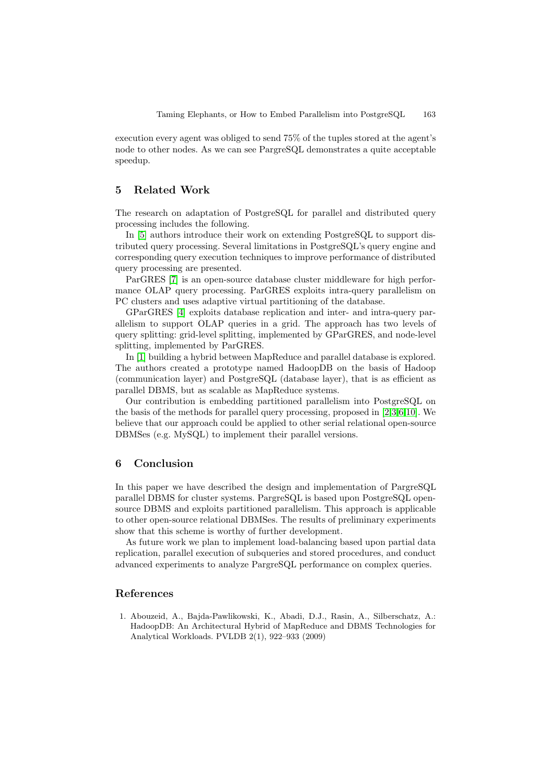execution every agent was obliged to send 75% of the tuples stored at the agent's node to other nodes. As we can see PargreSQL demonstrates a quite acceptable speedup.

# <span id="page-10-0"></span>**5 Related Work**

The research on adaptation of PostgreSQL for parallel and distributed query processing includes the following.

In [\[5\]](#page-11-6) authors introduce their work on extending PostgreSQL to support distributed query processing. Several limitations in PostgreSQL's query engine and corresponding query execution techniques to improve performance of distributed query processing are presented.

ParGRES [\[7\]](#page-11-7) is an open-source database cluster middleware for high performance OLAP query processing. ParGRES exploits intra-query parallelism on PC clusters and uses adaptive virtual partitioning of the database.

GParGRES [\[4\]](#page-11-8) exploits database replication and inter- and intra-query parallelism to support OLAP queries in a grid. The approach has two levels of query splitting: grid-level splitting, implemented by GParGRES, and node-level splitting, implemented by ParGRES.

In [\[1\]](#page-10-3) building a hybrid between MapReduce and parallel database is explored. The authors created a prototype named HadoopDB on the basis of Hadoop (communication layer) and PostgreSQL (database layer), that is as efficient as parallel DBMS, but as scalable as MapReduce systems.

Our contribution is embedding partitioned parallelism into PostgreSQL on the basis of the methods for parallel query processing, proposed in [\[2,](#page-11-2)[3](#page-11-3)[,6](#page-11-5)[,10\]](#page-11-4). We believe that our approach could be applied to other serial relational open-source DBMSes (e.g. MySQL) to implement their parallel versions.

# <span id="page-10-1"></span>**6 Conclusion**

In this paper we have described the design and implementation of PargreSQL parallel DBMS for cluster systems. PargreSQL is based upon PostgreSQL opensource DBMS and exploits partitioned parallelism. This approach is applicable to other open-source relational DBMSes. The results of preliminary experiments show that this scheme is worthy of further development.

As future work we plan to implement load-balancing based upon partial data replication, parallel execution of subqueries and stored procedures, and conduct advanced experiments to analyze PargreSQL performance on complex queries.

# <span id="page-10-2"></span>**References**

<span id="page-10-3"></span>1. Abouzeid, A., Bajda-Pawlikowski, K., Abadi, D.J., Rasin, A., Silberschatz, A.: HadoopDB: An Architectural Hybrid of MapReduce and DBMS Technologies for Analytical Workloads. PVLDB 2(1), 922–933 (2009)